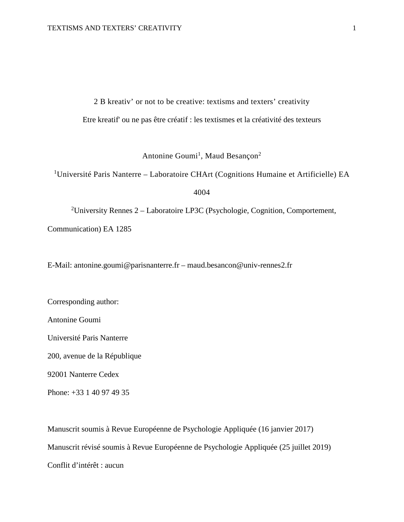2 B kreativ' or not to be creative: textisms and texters' creativity

Etre kreatif' ou ne pas être créatif : les textismes et la créativité des texteurs

Antonine Goumi<sup>1</sup>, Maud Besançon<sup>2</sup>

<sup>1</sup>Université Paris Nanterre – Laboratoire CHArt (Cognitions Humaine et Artificielle) EA

4004

<sup>2</sup>University Rennes  $2 -$  Laboratoire LP3C (Psychologie, Cognition, Comportement, Communication) EA 1285

E-Mail: antonine.goumi@parisnanterre.fr – maud.besancon@univ-rennes2.fr

Corresponding author:

Antonine Goumi

Université Paris Nanterre

200, avenue de la République

92001 Nanterre Cedex

Phone: +33 1 40 97 49 35

Manuscrit soumis à Revue Européenne de Psychologie Appliquée (16 janvier 2017) Manuscrit révisé soumis à Revue Européenne de Psychologie Appliquée (25 juillet 2019) Conflit d'intérêt : aucun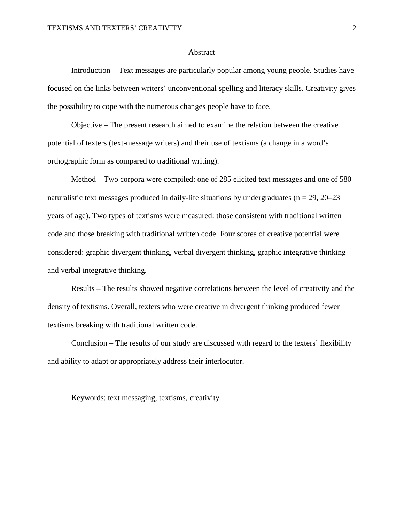#### Abstract

Introduction – Text messages are particularly popular among young people. Studies have focused on the links between writers' unconventional spelling and literacy skills. Creativity gives the possibility to cope with the numerous changes people have to face.

Objective – The present research aimed to examine the relation between the creative potential of texters (text-message writers) and their use of textisms (a change in a word's orthographic form as compared to traditional writing).

Method – Two corpora were compiled: one of 285 elicited text messages and one of 580 naturalistic text messages produced in daily-life situations by undergraduates ( $n = 29$ ,  $20-23$ ) years of age). Two types of textisms were measured: those consistent with traditional written code and those breaking with traditional written code. Four scores of creative potential were considered: graphic divergent thinking, verbal divergent thinking, graphic integrative thinking and verbal integrative thinking.

Results – The results showed negative correlations between the level of creativity and the density of textisms. Overall, texters who were creative in divergent thinking produced fewer textisms breaking with traditional written code.

Conclusion – The results of our study are discussed with regard to the texters' flexibility and ability to adapt or appropriately address their interlocutor.

Keywords: text messaging, textisms, creativity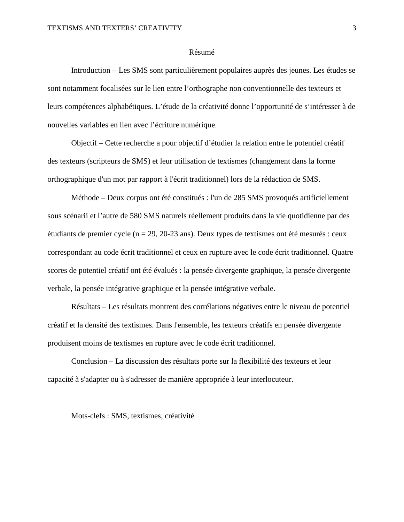#### Résumé

Introduction – Les SMS sont particulièrement populaires auprès des jeunes. Les études se sont notamment focalisées sur le lien entre l'orthographe non conventionnelle des texteurs et leurs compétences alphabétiques. L'étude de la créativité donne l'opportunité de s'intéresser à de nouvelles variables en lien avec l'écriture numérique.

Objectif – Cette recherche a pour objectif d'étudier la relation entre le potentiel créatif des texteurs (scripteurs de SMS) et leur utilisation de textismes (changement dans la forme orthographique d'un mot par rapport à l'écrit traditionnel) lors de la rédaction de SMS.

Méthode – Deux corpus ont été constitués : l'un de 285 SMS provoqués artificiellement sous scénarii et l'autre de 580 SMS naturels réellement produits dans la vie quotidienne par des étudiants de premier cycle (n = 29, 20-23 ans). Deux types de textismes ont été mesurés : ceux correspondant au code écrit traditionnel et ceux en rupture avec le code écrit traditionnel. Quatre scores de potentiel créatif ont été évalués : la pensée divergente graphique, la pensée divergente verbale, la pensée intégrative graphique et la pensée intégrative verbale.

Résultats – Les résultats montrent des corrélations négatives entre le niveau de potentiel créatif et la densité des textismes. Dans l'ensemble, les texteurs créatifs en pensée divergente produisent moins de textismes en rupture avec le code écrit traditionnel.

Conclusion – La discussion des résultats porte sur la flexibilité des texteurs et leur capacité à s'adapter ou à s'adresser de manière appropriée à leur interlocuteur.

Mots-clefs : SMS, textismes, créativité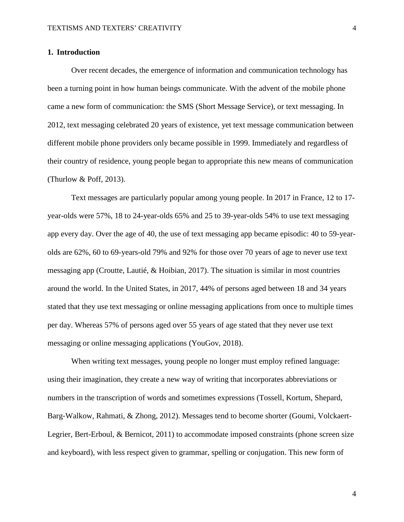#### **1. Introduction**

Over recent decades, the emergence of information and communication technology has been a turning point in how human beings communicate. With the advent of the mobile phone came a new form of communication: the SMS (Short Message Service), or text messaging. In 2012, text messaging celebrated 20 years of existence, yet text message communication between different mobile phone providers only became possible in 1999. Immediately and regardless of their country of residence, young people began to appropriate this new means of communication (Thurlow & Poff, 2013).

Text messages are particularly popular among young people. In 2017 in France, 12 to 17 year-olds were 57%, 18 to 24-year-olds 65% and 25 to 39-year-olds 54% to use text messaging app every day. Over the age of 40, the use of text messaging app became episodic: 40 to 59-yearolds are 62%, 60 to 69-years-old 79% and 92% for those over 70 years of age to never use text messaging app (Croutte, Lautié, & Hoibian, 2017). The situation is similar in most countries around the world. In the United States, in 2017, 44% of persons aged between 18 and 34 years stated that they use text messaging or online messaging applications from once to multiple times per day. Whereas 57% of persons aged over 55 years of age stated that they never use text messaging or online messaging applications (YouGov, 2018).

When writing text messages, young people no longer must employ refined language: using their imagination, they create a new way of writing that incorporates abbreviations or numbers in the transcription of words and sometimes expressions (Tossell, Kortum, Shepard, Barg‐Walkow, Rahmati, & Zhong, 2012). Messages tend to become shorter (Goumi, Volckaert-Legrier, Bert-Erboul, & Bernicot, 2011) to accommodate imposed constraints (phone screen size and keyboard), with less respect given to grammar, spelling or conjugation. This new form of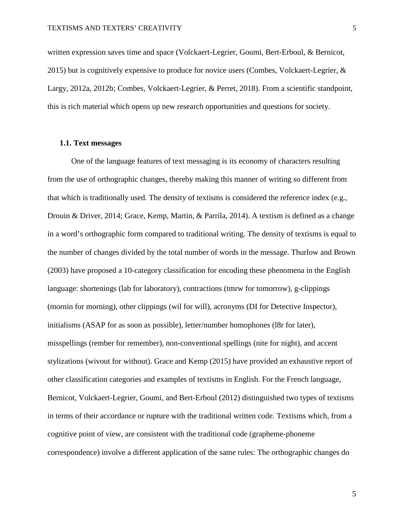written expression saves time and space (Volckaert-Legrier, Goumi, Bert-Erboul, & Bernicot, 2015) but is cognitively expensive to produce for novice users (Combes, Volckaert-Legrier, & Largy, 2012a, 2012b; Combes, Volckaert-Legrier, & Perret, 2018). From a scientific standpoint, this is rich material which opens up new research opportunities and questions for society.

# **1.1. Text messages**

One of the language features of text messaging is its economy of characters resulting from the use of orthographic changes, thereby making this manner of writing so different from that which is traditionally used. The density of textisms is considered the reference index (e.g., Drouin & Driver, 2014; Grace, Kemp, Martin, & Parrila, 2014). A textism is defined as a change in a word's orthographic form compared to traditional writing. The density of textisms is equal to the number of changes divided by the total number of words in the message. Thurlow and Brown (2003) have proposed a 10-category classification for encoding these phenomena in the English language: shortenings (lab for laboratory), contractions (tmrw for tomorrow), g-clippings (mornin for morning), other clippings (wil for will), acronyms (DI for Detective Inspector), initialisms (ASAP for as soon as possible), letter/number homophones (l8r for later), misspellings (rember for remember), non-conventional spellings (nite for night), and accent stylizations (wivout for without). Grace and Kemp (2015) have provided an exhaustive report of other classification categories and examples of textisms in English. For the French language, Bernicot, Volckaert-Legrier, Goumi, and Bert-Erboul (2012) distinguished two types of textisms in terms of their accordance or rupture with the traditional written code. Textisms which, from a cognitive point of view, are consistent with the traditional code (grapheme-phoneme correspondence) involve a different application of the same rules: The orthographic changes do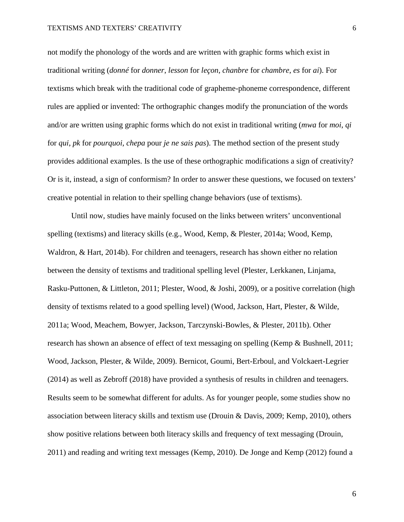not modify the phonology of the words and are written with graphic forms which exist in traditional writing (*donné* for *donner*, *lesson* for *leçon*, *chanbre* for *chambre*, *es* for *ai*). For textisms which break with the traditional code of grapheme-phoneme correspondence, different rules are applied or invented: The orthographic changes modify the pronunciation of the words and/or are written using graphic forms which do not exist in traditional writing (*mwa* for *moi*, *qi* for *qui*, *pk* for *pourquoi*, *chepa* pour *je ne sais pas*). The method section of the present study provides additional examples. Is the use of these orthographic modifications a sign of creativity? Or is it, instead, a sign of conformism? In order to answer these questions, we focused on texters' creative potential in relation to their spelling change behaviors (use of textisms).

Until now, studies have mainly focused on the links between writers' unconventional spelling (textisms) and literacy skills (e.g., Wood, Kemp, & Plester, 2014a; Wood, Kemp, Waldron, & Hart, 2014b). For children and teenagers, research has shown either no relation between the density of textisms and traditional spelling level (Plester, Lerkkanen, Linjama, Rasku-Puttonen, & Littleton, 2011; Plester, Wood, & Joshi, 2009), or a positive correlation (high density of textisms related to a good spelling level) (Wood, Jackson, Hart, Plester, & Wilde, 2011a; Wood, Meachem, Bowyer, Jackson, Tarczynski-Bowles, & Plester, 2011b). Other research has shown an absence of effect of text messaging on spelling (Kemp & Bushnell, 2011; Wood, Jackson, Plester, & Wilde, 2009). Bernicot, Goumi, Bert-Erboul, and Volckaert-Legrier (2014) as well as Zebroff (2018) have provided a synthesis of results in children and teenagers. Results seem to be somewhat different for adults. As for younger people, some studies show no association between literacy skills and textism use (Drouin & Davis, 2009; Kemp, 2010), others show positive relations between both literacy skills and frequency of text messaging (Drouin, 2011) and reading and writing text messages (Kemp, 2010). De Jonge and Kemp (2012) found a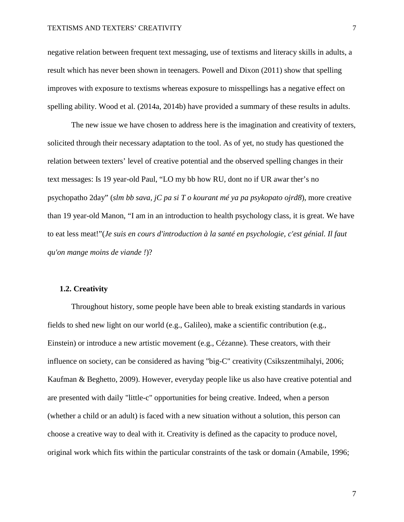negative relation between frequent text messaging, use of textisms and literacy skills in adults, a result which has never been shown in teenagers. Powell and Dixon (2011) show that spelling improves with exposure to textisms whereas exposure to misspellings has a negative effect on spelling ability. Wood et al. (2014a, 2014b) have provided a summary of these results in adults.

The new issue we have chosen to address here is the imagination and creativity of texters, solicited through their necessary adaptation to the tool. As of yet, no study has questioned the relation between texters' level of creative potential and the observed spelling changes in their text messages: Is 19 year-old Paul, "LO my bb how RU, dont no if UR awar ther's no psychopatho 2day" (*slm bb sava, jC pa si T o kourant mé ya pa psykopato ojrd8*), more creative than 19 year-old Manon, "I am in an introduction to health psychology class, it is great. We have to eat less meat!"(*Je suis en cours d'introduction à la santé en psychologie, c'est génial. Il faut qu'on mange moins de viande !*)?

#### **1.2. Creativity**

Throughout history, some people have been able to break existing standards in various fields to shed new light on our world (e.g., Galileo), make a scientific contribution (e.g., Einstein) or introduce a new artistic movement (e.g., Cézanne). These creators, with their influence on society, can be considered as having "big-C" creativity (Csikszentmihalyi, 2006; Kaufman & Beghetto, 2009). However, everyday people like us also have creative potential and are presented with daily "little-c" opportunities for being creative. Indeed, when a person (whether a child or an adult) is faced with a new situation without a solution, this person can choose a creative way to deal with it. Creativity is defined as the capacity to produce novel, original work which fits within the particular constraints of the task or domain (Amabile, 1996;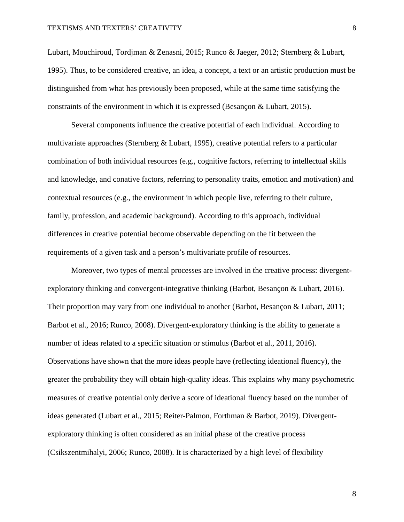Lubart, Mouchiroud, Tordjman & Zenasni, 2015; Runco & Jaeger, 2012; Sternberg & Lubart, 1995). Thus, to be considered creative, an idea, a concept, a text or an artistic production must be distinguished from what has previously been proposed, while at the same time satisfying the constraints of the environment in which it is expressed (Besançon & Lubart, 2015).

Several components influence the creative potential of each individual. According to multivariate approaches (Sternberg & Lubart, 1995), creative potential refers to a particular combination of both individual resources (e.g., cognitive factors, referring to intellectual skills and knowledge, and conative factors, referring to personality traits, emotion and motivation) and contextual resources (e.g., the environment in which people live, referring to their culture, family, profession, and academic background). According to this approach, individual differences in creative potential become observable depending on the fit between the requirements of a given task and a person's multivariate profile of resources.

Moreover, two types of mental processes are involved in the creative process: divergentexploratory thinking and convergent-integrative thinking (Barbot, Besançon & Lubart, 2016). Their proportion may vary from one individual to another (Barbot, Besançon & Lubart, 2011; Barbot et al., 2016; Runco, 2008). Divergent-exploratory thinking is the ability to generate a number of ideas related to a specific situation or stimulus (Barbot et al., 2011, 2016). Observations have shown that the more ideas people have (reflecting ideational fluency), the greater the probability they will obtain high-quality ideas. This explains why many psychometric measures of creative potential only derive a score of ideational fluency based on the number of ideas generated (Lubart et al., 2015; Reiter-Palmon, Forthman & Barbot, 2019). Divergentexploratory thinking is often considered as an initial phase of the creative process (Csikszentmihalyi, 2006; Runco, 2008). It is characterized by a high level of flexibility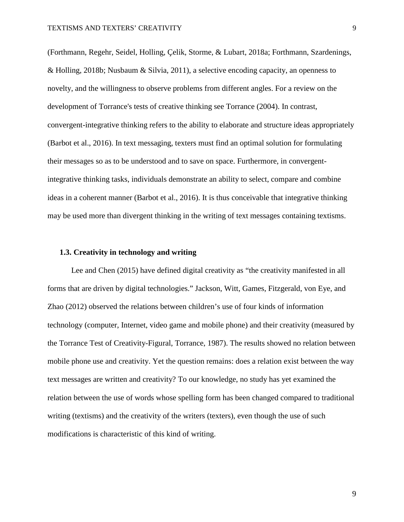(Forthmann, Regehr, Seidel, Holling, Çelik, Storme, & Lubart, 2018a; Forthmann, Szardenings, & Holling, 2018b; Nusbaum & Silvia, 2011), a selective encoding capacity, an openness to novelty, and the willingness to observe problems from different angles. For a review on the development of Torrance's tests of creative thinking see Torrance (2004). In contrast, convergent-integrative thinking refers to the ability to elaborate and structure ideas appropriately (Barbot et al., 2016). In text messaging, texters must find an optimal solution for formulating their messages so as to be understood and to save on space. Furthermore, in convergentintegrative thinking tasks, individuals demonstrate an ability to select, compare and combine ideas in a coherent manner (Barbot et al., 2016). It is thus conceivable that integrative thinking may be used more than divergent thinking in the writing of text messages containing textisms.

### **1.3. Creativity in technology and writing**

Lee and Chen (2015) have defined digital creativity as "the creativity manifested in all forms that are driven by digital technologies." Jackson, Witt, Games, Fitzgerald, von Eye, and Zhao (2012) observed the relations between children's use of four kinds of information technology (computer, Internet, video game and mobile phone) and their creativity (measured by the Torrance Test of Creativity-Figural, Torrance, 1987). The results showed no relation between mobile phone use and creativity. Yet the question remains: does a relation exist between the way text messages are written and creativity? To our knowledge, no study has yet examined the relation between the use of words whose spelling form has been changed compared to traditional writing (textisms) and the creativity of the writers (texters), even though the use of such modifications is characteristic of this kind of writing.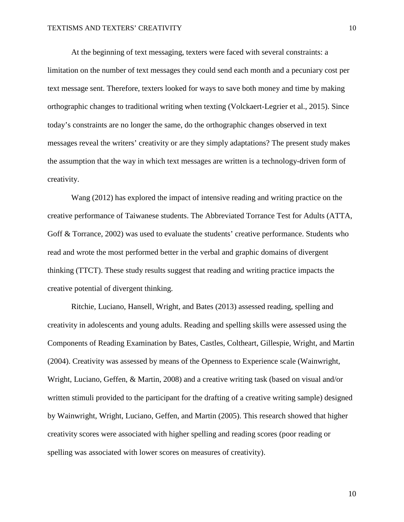At the beginning of text messaging, texters were faced with several constraints: a limitation on the number of text messages they could send each month and a pecuniary cost per text message sent. Therefore, texters looked for ways to save both money and time by making orthographic changes to traditional writing when texting (Volckaert-Legrier et al., 2015). Since today's constraints are no longer the same, do the orthographic changes observed in text messages reveal the writers' creativity or are they simply adaptations? The present study makes the assumption that the way in which text messages are written is a technology-driven form of creativity.

Wang (2012) has explored the impact of intensive reading and writing practice on the creative performance of Taiwanese students. The Abbreviated Torrance Test for Adults (ATTA, Goff & Torrance, 2002) was used to evaluate the students' creative performance. Students who read and wrote the most performed better in the verbal and graphic domains of divergent thinking (TTCT). These study results suggest that reading and writing practice impacts the creative potential of divergent thinking.

Ritchie, Luciano, Hansell, Wright, and Bates (2013) assessed reading, spelling and creativity in adolescents and young adults. Reading and spelling skills were assessed using the Components of Reading Examination by Bates, Castles, Coltheart, Gillespie, Wright, and Martin (2004). Creativity was assessed by means of the Openness to Experience scale (Wainwright, Wright, Luciano, Geffen, & Martin, 2008) and a creative writing task (based on visual and/or written stimuli provided to the participant for the drafting of a creative writing sample) designed by Wainwright, Wright, Luciano, Geffen, and Martin (2005). This research showed that higher creativity scores were associated with higher spelling and reading scores (poor reading or spelling was associated with lower scores on measures of creativity).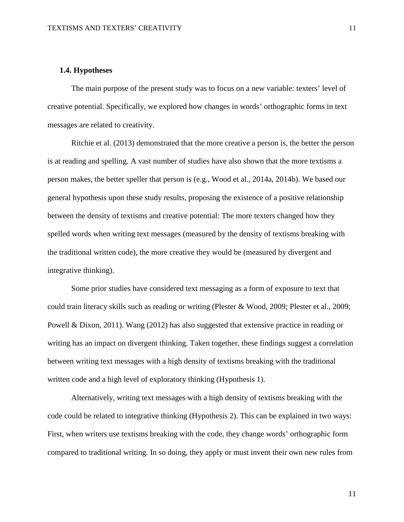# **1.4. Hypotheses**

The main purpose of the present study was to focus on a new variable: texters' level of creative potential. Specifically, we explored how changes in words' orthographic forms in text messages are related to creativity.

Ritchie et al. (2013) demonstrated that the more creative a person is, the better the person is at reading and spelling. A vast number of studies have also shown that the more textisms a person makes, the better speller that person is (e.g., Wood et al., 2014a, 2014b). We based our general hypothesis upon these study results, proposing the existence of a positive relationship between the density of textisms and creative potential: The more texters changed how they spelled words when writing text messages (measured by the density of textisms breaking with the traditional written code), the more creative they would be (measured by divergent and integrative thinking).

Some prior studies have considered text messaging as a form of exposure to text that could train literacy skills such as reading or writing (Plester & Wood, 2009; Plester et al., 2009; Powell & Dixon, 2011). Wang (2012) has also suggested that extensive practice in reading or writing has an impact on divergent thinking. Taken together, these findings suggest a correlation between writing text messages with a high density of textisms breaking with the traditional written code and a high level of exploratory thinking (Hypothesis 1).

Alternatively, writing text messages with a high density of textisms breaking with the code could be related to integrative thinking (Hypothesis 2). This can be explained in two ways: First, when writers use textisms breaking with the code, they change words' orthographic form compared to traditional writing. In so doing, they apply or must invent their own new rules from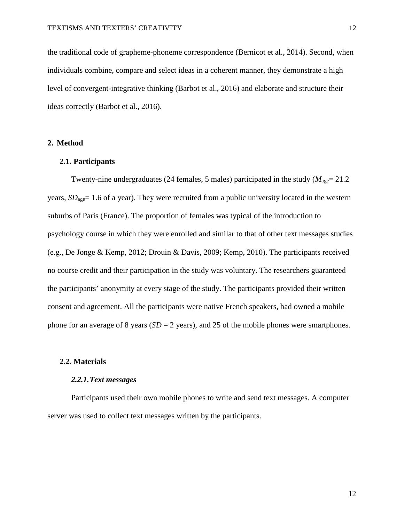the traditional code of grapheme-phoneme correspondence (Bernicot et al., 2014). Second, when individuals combine, compare and select ideas in a coherent manner, they demonstrate a high level of convergent-integrative thinking (Barbot et al., 2016) and elaborate and structure their ideas correctly (Barbot et al., 2016).

# **2. Method**

# **2.1. Participants**

Twenty-nine undergraduates (24 females, 5 males) participated in the study ( $M_{\text{age}} = 21.2$ years,  $SD<sub>age</sub>= 1.6$  of a year). They were recruited from a public university located in the western suburbs of Paris (France). The proportion of females was typical of the introduction to psychology course in which they were enrolled and similar to that of other text messages studies (e.g., De Jonge & Kemp, 2012; Drouin & Davis, 2009; Kemp, 2010). The participants received no course credit and their participation in the study was voluntary. The researchers guaranteed the participants' anonymity at every stage of the study. The participants provided their written consent and agreement. All the participants were native French speakers, had owned a mobile phone for an average of 8 years (*SD* = 2 years), and 25 of the mobile phones were smartphones.

# **2.2. Materials**

#### *2.2.1.Text messages*

Participants used their own mobile phones to write and send text messages. A computer server was used to collect text messages written by the participants.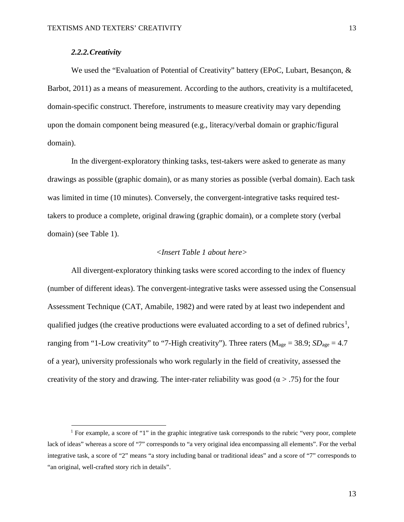# *2.2.2.Creativity*

We used the "Evaluation of Potential of Creativity" battery (EPoC, Lubart, Besançon, & Barbot, 2011) as a means of measurement. According to the authors, creativity is a multifaceted, domain-specific construct. Therefore, instruments to measure creativity may vary depending upon the domain component being measured (e.g., literacy/verbal domain or graphic/figural domain).

In the divergent-exploratory thinking tasks, test-takers were asked to generate as many drawings as possible (graphic domain), or as many stories as possible (verbal domain). Each task was limited in time (10 minutes). Conversely, the convergent-integrative tasks required testtakers to produce a complete, original drawing (graphic domain), or a complete story (verbal domain) (see Table 1).

# *<Insert Table 1 about here>*

All divergent-exploratory thinking tasks were scored according to the index of fluency (number of different ideas). The convergent-integrative tasks were assessed using the Consensual Assessment Technique (CAT, Amabile, 1982) and were rated by at least two independent and qualified judges (the creative productions were evaluated according to a set of defined rubrics<sup>[1](#page-12-0)</sup>, ranging from "1-Low creativity" to "7-High creativity"). Three raters ( $M_{\text{age}} = 38.9$ ;  $SD_{\text{age}} = 4.7$ of a year), university professionals who work regularly in the field of creativity, assessed the creativity of the story and drawing. The inter-rater reliability was good ( $\alpha$  > .75) for the four

<span id="page-12-0"></span><sup>&</sup>lt;sup>1</sup> For example, a score of "1" in the graphic integrative task corresponds to the rubric "very poor, complete" lack of ideas" whereas a score of "7" corresponds to "a very original idea encompassing all elements". For the verbal integrative task, a score of "2" means "a story including banal or traditional ideas" and a score of "7" corresponds to "an original, well-crafted story rich in details".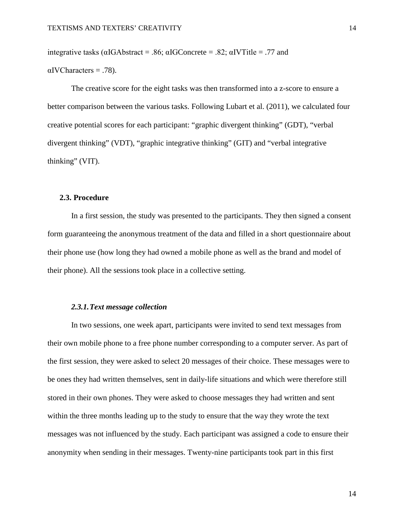integrative tasks ( $\alpha$ IGAbstract = .86;  $\alpha$ IGConcrete = .82;  $\alpha$ IVTitle = .77 and

 $\alpha$ IVCharacters = .78).

The creative score for the eight tasks was then transformed into a z-score to ensure a better comparison between the various tasks. Following Lubart et al. (2011), we calculated four creative potential scores for each participant: "graphic divergent thinking" (GDT), "verbal divergent thinking" (VDT), "graphic integrative thinking" (GIT) and "verbal integrative thinking" (VIT).

## **2.3. Procedure**

In a first session, the study was presented to the participants. They then signed a consent form guaranteeing the anonymous treatment of the data and filled in a short questionnaire about their phone use (how long they had owned a mobile phone as well as the brand and model of their phone). All the sessions took place in a collective setting.

# *2.3.1.Text message collection*

In two sessions, one week apart, participants were invited to send text messages from their own mobile phone to a free phone number corresponding to a computer server. As part of the first session, they were asked to select 20 messages of their choice. These messages were to be ones they had written themselves, sent in daily-life situations and which were therefore still stored in their own phones. They were asked to choose messages they had written and sent within the three months leading up to the study to ensure that the way they wrote the text messages was not influenced by the study. Each participant was assigned a code to ensure their anonymity when sending in their messages. Twenty-nine participants took part in this first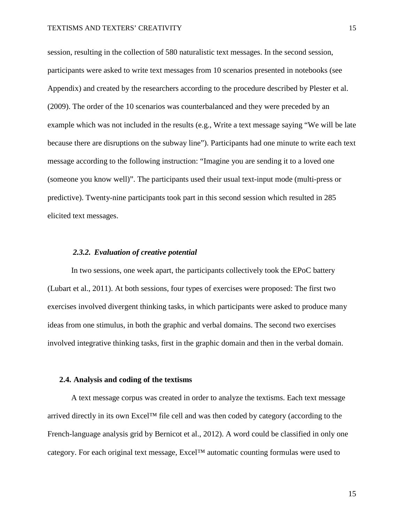session, resulting in the collection of 580 naturalistic text messages. In the second session, participants were asked to write text messages from 10 scenarios presented in notebooks (see Appendix) and created by the researchers according to the procedure described by Plester et al. (2009). The order of the 10 scenarios was counterbalanced and they were preceded by an example which was not included in the results (e.g., Write a text message saying "We will be late because there are disruptions on the subway line"). Participants had one minute to write each text message according to the following instruction: "Imagine you are sending it to a loved one (someone you know well)". The participants used their usual text-input mode (multi-press or predictive). Twenty-nine participants took part in this second session which resulted in 285 elicited text messages.

#### *2.3.2. Evaluation of creative potential*

In two sessions, one week apart, the participants collectively took the EPoC battery (Lubart et al., 2011). At both sessions, four types of exercises were proposed: The first two exercises involved divergent thinking tasks, in which participants were asked to produce many ideas from one stimulus, in both the graphic and verbal domains. The second two exercises involved integrative thinking tasks, first in the graphic domain and then in the verbal domain.

#### **2.4. Analysis and coding of the textisms**

A text message corpus was created in order to analyze the textisms. Each text message arrived directly in its own Excel™ file cell and was then coded by category (according to the French-language analysis grid by Bernicot et al., 2012). A word could be classified in only one category. For each original text message, Excel™ automatic counting formulas were used to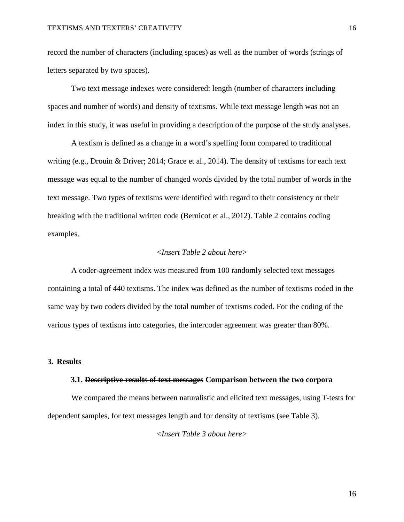record the number of characters (including spaces) as well as the number of words (strings of letters separated by two spaces).

Two text message indexes were considered: length (number of characters including spaces and number of words) and density of textisms. While text message length was not an index in this study, it was useful in providing a description of the purpose of the study analyses.

A textism is defined as a change in a word's spelling form compared to traditional writing (e.g., Drouin & Driver; 2014; Grace et al., 2014). The density of textisms for each text message was equal to the number of changed words divided by the total number of words in the text message. Two types of textisms were identified with regard to their consistency or their breaking with the traditional written code (Bernicot et al., 2012). Table 2 contains coding examples.

# *<Insert Table 2 about here>*

A coder-agreement index was measured from 100 randomly selected text messages containing a total of 440 textisms. The index was defined as the number of textisms coded in the same way by two coders divided by the total number of textisms coded. For the coding of the various types of textisms into categories, the intercoder agreement was greater than 80%.

# **3. Results**

#### **3.1. Descriptive results of text messages Comparison between the two corpora**

We compared the means between naturalistic and elicited text messages, using *T*-tests for dependent samples, for text messages length and for density of textisms (see Table 3).

*<Insert Table 3 about here>*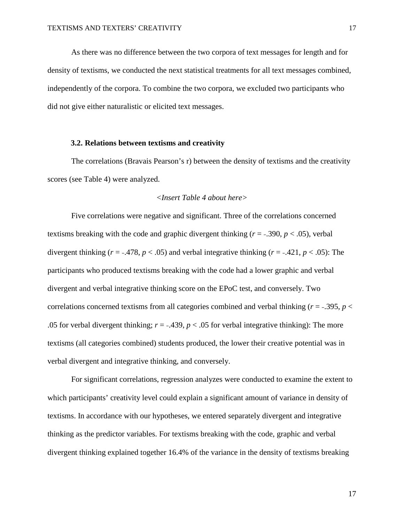As there was no difference between the two corpora of text messages for length and for density of textisms, we conducted the next statistical treatments for all text messages combined, independently of the corpora. To combine the two corpora, we excluded two participants who did not give either naturalistic or elicited text messages.

## **3.2. Relations between textisms and creativity**

The correlations (Bravais Pearson's r) between the density of textisms and the creativity scores (see Table 4) were analyzed.

# *<Insert Table 4 about here>*

Five correlations were negative and significant. Three of the correlations concerned textisms breaking with the code and graphic divergent thinking  $(r = -.390, p < .05)$ , verbal divergent thinking ( $r = -0.478$ ,  $p < 0.05$ ) and verbal integrative thinking ( $r = -0.421$ ,  $p < 0.05$ ): The participants who produced textisms breaking with the code had a lower graphic and verbal divergent and verbal integrative thinking score on the EPoC test, and conversely. Two correlations concerned textisms from all categories combined and verbal thinking (*r* = <sup>−</sup>.395, *p* < .05 for verbal divergent thinking;  $r = -0.439$ ,  $p < 0.05$  for verbal integrative thinking): The more textisms (all categories combined) students produced, the lower their creative potential was in verbal divergent and integrative thinking, and conversely.

For significant correlations, regression analyzes were conducted to examine the extent to which participants' creativity level could explain a significant amount of variance in density of textisms. In accordance with our hypotheses, we entered separately divergent and integrative thinking as the predictor variables. For textisms breaking with the code, graphic and verbal divergent thinking explained together 16.4% of the variance in the density of textisms breaking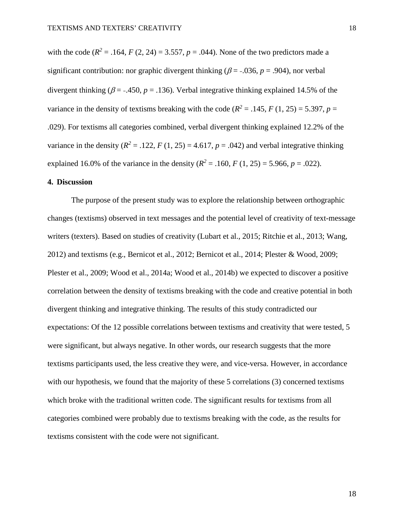with the code  $(R^2 = .164, F(2, 24) = 3.557, p = .044)$ . None of the two predictors made a significant contribution: nor graphic divergent thinking ( $\beta$  = -.036, *p* = .904), nor verbal divergent thinking ( $\beta$  = -.450,  $p$  = .136). Verbal integrative thinking explained 14.5% of the variance in the density of textisms breaking with the code ( $R^2 = .145$ ,  $F(1, 25) = 5.397$ ,  $p =$ .029). For textisms all categories combined, verbal divergent thinking explained 12.2% of the variance in the density  $(R^2 = .122, F(1, 25) = 4.617, p = .042)$  and verbal integrative thinking explained 16.0% of the variance in the density  $(R^2 = .160, F(1, 25) = 5.966, p = .022)$ .

# **4. Discussion**

The purpose of the present study was to explore the relationship between orthographic changes (textisms) observed in text messages and the potential level of creativity of text-message writers (texters). Based on studies of creativity (Lubart et al., 2015; Ritchie et al., 2013; Wang, 2012) and textisms (e.g., Bernicot et al., 2012; Bernicot et al., 2014; Plester & Wood, 2009; Plester et al., 2009; Wood et al., 2014a; Wood et al., 2014b) we expected to discover a positive correlation between the density of textisms breaking with the code and creative potential in both divergent thinking and integrative thinking. The results of this study contradicted our expectations: Of the 12 possible correlations between textisms and creativity that were tested, 5 were significant, but always negative. In other words, our research suggests that the more textisms participants used, the less creative they were, and vice-versa. However, in accordance with our hypothesis, we found that the majority of these 5 correlations (3) concerned textisms which broke with the traditional written code. The significant results for textisms from all categories combined were probably due to textisms breaking with the code, as the results for textisms consistent with the code were not significant.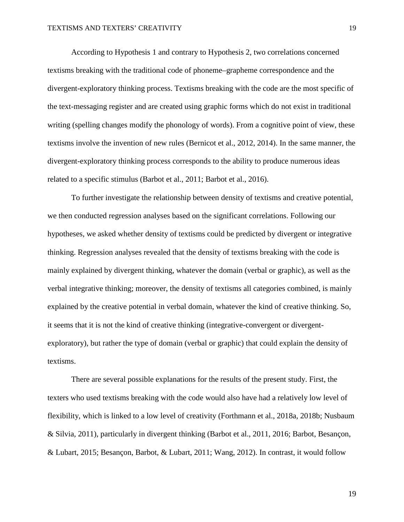According to Hypothesis 1 and contrary to Hypothesis 2, two correlations concerned textisms breaking with the traditional code of phoneme–grapheme correspondence and the divergent-exploratory thinking process. Textisms breaking with the code are the most specific of the text-messaging register and are created using graphic forms which do not exist in traditional writing (spelling changes modify the phonology of words). From a cognitive point of view, these textisms involve the invention of new rules (Bernicot et al., 2012, 2014). In the same manner, the divergent-exploratory thinking process corresponds to the ability to produce numerous ideas related to a specific stimulus (Barbot et al., 2011; Barbot et al., 2016).

To further investigate the relationship between density of textisms and creative potential, we then conducted regression analyses based on the significant correlations. Following our hypotheses, we asked whether density of textisms could be predicted by divergent or integrative thinking. Regression analyses revealed that the density of textisms breaking with the code is mainly explained by divergent thinking, whatever the domain (verbal or graphic), as well as the verbal integrative thinking; moreover, the density of textisms all categories combined, is mainly explained by the creative potential in verbal domain, whatever the kind of creative thinking. So, it seems that it is not the kind of creative thinking (integrative-convergent or divergentexploratory), but rather the type of domain (verbal or graphic) that could explain the density of textisms.

There are several possible explanations for the results of the present study. First, the texters who used textisms breaking with the code would also have had a relatively low level of flexibility, which is linked to a low level of creativity (Forthmann et al., 2018a, 2018b; Nusbaum & Silvia, 2011), particularly in divergent thinking (Barbot et al., 2011, 2016; Barbot, Besançon, & Lubart, 2015; Besançon, Barbot, & Lubart, 2011; Wang, 2012). In contrast, it would follow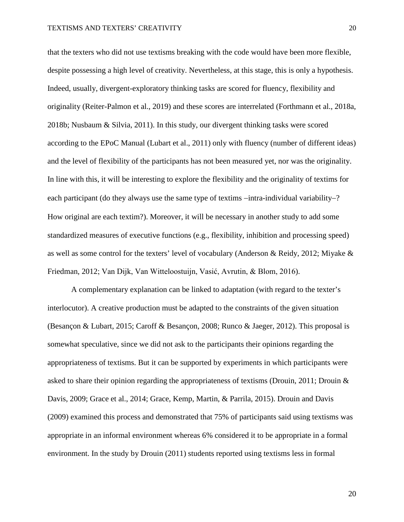that the texters who did not use textisms breaking with the code would have been more flexible, despite possessing a high level of creativity. Nevertheless, at this stage, this is only a hypothesis. Indeed, usually, divergent-exploratory thinking tasks are scored for fluency, flexibility and originality (Reiter-Palmon et al., 2019) and these scores are interrelated (Forthmann et al., 2018a, 2018b; Nusbaum & Silvia, 2011). In this study, our divergent thinking tasks were scored according to the EPoC Manual (Lubart et al., 2011) only with fluency (number of different ideas) and the level of flexibility of the participants has not been measured yet, nor was the originality. In line with this, it will be interesting to explore the flexibility and the originality of textims for each participant (do they always use the same type of textims −intra-individual variability−? How original are each textim?). Moreover, it will be necessary in another study to add some standardized measures of executive functions (e.g., flexibility, inhibition and processing speed) as well as some control for the texters' level of vocabulary (Anderson & Reidy, 2012; Miyake & Friedman, 2012; Van Dijk, Van Witteloostuijn, Vasić, Avrutin, & Blom, 2016).

A complementary explanation can be linked to adaptation (with regard to the texter's interlocutor). A creative production must be adapted to the constraints of the given situation (Besançon & Lubart, 2015; Caroff & Besançon, 2008; Runco & Jaeger, 2012). This proposal is somewhat speculative, since we did not ask to the participants their opinions regarding the appropriateness of textisms. But it can be supported by experiments in which participants were asked to share their opinion regarding the appropriateness of textisms (Drouin, 2011; Drouin & Davis, 2009; Grace et al., 2014; Grace, Kemp, Martin, & Parrila, 2015). Drouin and Davis (2009) examined this process and demonstrated that 75% of participants said using textisms was appropriate in an informal environment whereas 6% considered it to be appropriate in a formal environment. In the study by Drouin (2011) students reported using textisms less in formal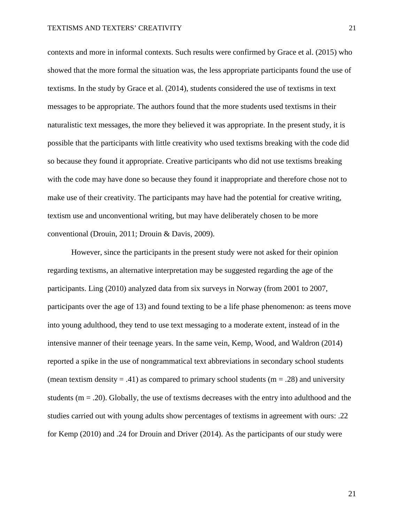contexts and more in informal contexts. Such results were confirmed by Grace et al. (2015) who showed that the more formal the situation was, the less appropriate participants found the use of textisms. In the study by Grace et al. (2014), students considered the use of textisms in text messages to be appropriate. The authors found that the more students used textisms in their naturalistic text messages, the more they believed it was appropriate. In the present study, it is possible that the participants with little creativity who used textisms breaking with the code did so because they found it appropriate. Creative participants who did not use textisms breaking with the code may have done so because they found it inappropriate and therefore chose not to make use of their creativity. The participants may have had the potential for creative writing, textism use and unconventional writing, but may have deliberately chosen to be more conventional (Drouin, 2011; Drouin & Davis, 2009).

However, since the participants in the present study were not asked for their opinion regarding textisms, an alternative interpretation may be suggested regarding the age of the participants. Ling (2010) analyzed data from six surveys in Norway (from 2001 to 2007, participants over the age of 13) and found texting to be a life phase phenomenon: as teens move into young adulthood, they tend to use text messaging to a moderate extent, instead of in the intensive manner of their teenage years. In the same vein, Kemp, Wood, and Waldron (2014) reported a spike in the use of nongrammatical text abbreviations in secondary school students (mean textism density  $= .41$ ) as compared to primary school students (m  $= .28$ ) and university students  $(m = .20)$ . Globally, the use of textisms decreases with the entry into adulthood and the studies carried out with young adults show percentages of textisms in agreement with ours: .22 for Kemp (2010) and .24 for Drouin and Driver (2014). As the participants of our study were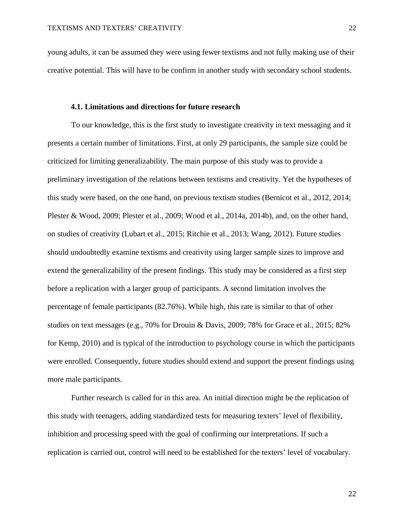young adults, it can be assumed they were using fewer textisms and not fully making use of their creative potential. This will have to be confirm in another study with secondary school students.

#### **4.1. Limitations and directions for future research**

To our knowledge, this is the first study to investigate creativity in text messaging and it presents a certain number of limitations. First, at only 29 participants, the sample size could be criticized for limiting generalizability. The main purpose of this study was to provide a preliminary investigation of the relations between textisms and creativity. Yet the hypotheses of this study were based, on the one hand, on previous textism studies (Bernicot et al., 2012, 2014; Plester & Wood, 2009; Plester et al., 2009; Wood et al., 2014a, 2014b), and, on the other hand, on studies of creativity (Lubart et al., 2015; Ritchie et al., 2013; Wang, 2012). Future studies should undoubtedly examine textisms and creativity using larger sample sizes to improve and extend the generalizability of the present findings. This study may be considered as a first step before a replication with a larger group of participants. A second limitation involves the percentage of female participants (82.76%). While high, this rate is similar to that of other studies on text messages (e.g., 70% for Drouin & Davis, 2009; 78% for Grace et al., 2015; 82% for Kemp, 2010) and is typical of the introduction to psychology course in which the participants were enrolled. Consequently, future studies should extend and support the present findings using more male participants.

Further research is called for in this area. An initial direction might be the replication of this study with teenagers, adding standardized tests for measuring texters' level of flexibility, inhibition and processing speed with the goal of confirming our interpretations. If such a replication is carried out, control will need to be established for the texters' level of vocabulary.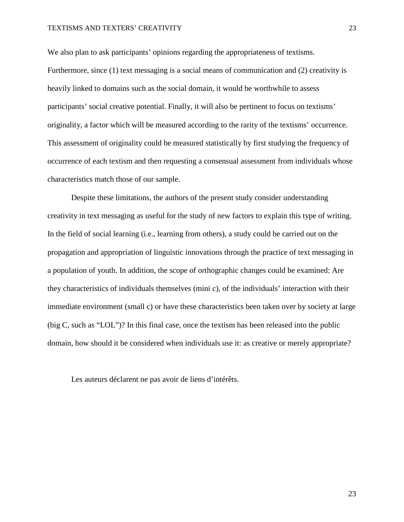We also plan to ask participants' opinions regarding the appropriateness of textisms. Furthermore, since (1) text messaging is a social means of communication and (2) creativity is heavily linked to domains such as the social domain, it would be worthwhile to assess participants' social creative potential. Finally, it will also be pertinent to focus on textisms' originality, a factor which will be measured according to the rarity of the textisms' occurrence. This assessment of originality could be measured statistically by first studying the frequency of occurrence of each textism and then requesting a consensual assessment from individuals whose characteristics match those of our sample.

Despite these limitations, the authors of the present study consider understanding creativity in text messaging as useful for the study of new factors to explain this type of writing. In the field of social learning (i.e., learning from others), a study could be carried out on the propagation and appropriation of linguistic innovations through the practice of text messaging in a population of youth. In addition, the scope of orthographic changes could be examined: Are they characteristics of individuals themselves (mini c), of the individuals' interaction with their immediate environment (small c) or have these characteristics been taken over by society at large (big C, such as "LOL")? In this final case, once the textism has been released into the public domain, how should it be considered when individuals use it: as creative or merely appropriate?

Les auteurs déclarent ne pas avoir de liens d'intérêts.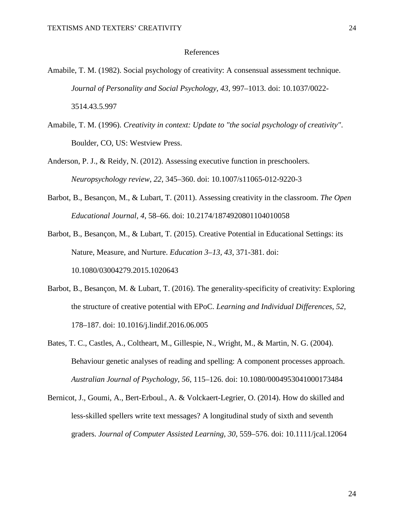#### References

- Amabile, T. M. (1982). Social psychology of creativity: A consensual assessment technique. *Journal of Personality and Social Psychology, 43*, 997–1013. doi: 10.1037/0022- 3514.43.5.997
- Amabile, T. M. (1996). *Creativity in context: Update to "the social psychology of creativity"*. Boulder, CO, US: Westview Press.
- Anderson, P. J., & Reidy, N. (2012). Assessing executive function in preschoolers. *Neuropsychology review*, *22*, 345–360. doi: 10.1007/s11065-012-9220-3
- Barbot, B., Besançon, M., & Lubart, T. (2011). Assessing creativity in the classroom. *The Open Educational Journal, 4*, 58–66. doi: 10.2174/1874920801104010058
- Barbot, B., Besançon, M., & Lubart, T. (2015). Creative Potential in Educational Settings: its Nature, Measure, and Nurture. *Education 3–13, 43*, 371-381. doi: 10.1080/03004279.2015.1020643
- Barbot, B., Besançon, M. & Lubart, T. (2016). The generality-specificity of creativity: Exploring the structure of creative potential with EPoC. *Learning and Individual Differences, 52,*  178*–*187. doi: 10.1016/j.lindif.2016.06.005
- Bates, T. C., Castles, A., Coltheart, M., Gillespie, N., Wright, M., & Martin, N. G. (2004). Behaviour genetic analyses of reading and spelling: A component processes approach. *Australian Journal of Psychology, 56*, 115–126. doi: 10.1080/0004953041000173484
- Bernicot, J., Goumi, A., Bert-Erboul., A. & Volckaert-Legrier, O. (2014). How do skilled and less-skilled spellers write text messages? A longitudinal study of sixth and seventh graders. *Journal of Computer Assisted Learning, 30*, 559–576. doi: 10.1111/jcal.12064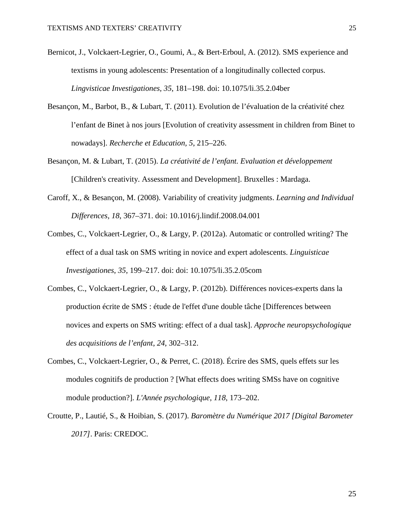- Bernicot, J., Volckaert-Legrier, O., Goumi, A., & Bert-Erboul, A. (2012). SMS experience and textisms in young adolescents: Presentation of a longitudinally collected corpus. *Lingvisticae Investigationes, 35*, 181–198. doi: 10.1075/li.35.2.04ber
- Besançon, M., Barbot, B., & Lubart, T. (2011). Evolution de l'évaluation de la créativité chez l'enfant de Binet à nos jours [Evolution of creativity assessment in children from Binet to nowadays]. *Recherche et Education, 5*, 215–226.
- Besançon, M. & Lubart, T. (2015). *La créativité de l'enfant. Evaluation et développement* [Children's creativity. Assessment and Development]. Bruxelles : Mardaga.
- Caroff, X., & Besançon, M. (2008). Variability of creativity judgments. *Learning and Individual Differences, 18*, 367–371. doi: 10.1016/j.lindif.2008.04.001
- Combes, C., Volckaert-Legrier, O., & Largy, P. (2012a). Automatic or controlled writing? The effect of a dual task on SMS writing in novice and expert adolescents. *Linguisticae Investigationes*, *35*, 199–217. doi: doi: 10.1075/li.35.2.05com
- Combes, C., Volckaert-Legrier, O., & Largy, P. (2012b). Différences novices-experts dans la production écrite de SMS : étude de l'effet d'une double tâche [Differences between novices and experts on SMS writing: effect of a dual task]. *Approche neuropsychologique des acquisitions de l'enfant*, *24*, 302–312.
- Combes, C., Volckaert-Legrier, O., & Perret, C. (2018). Écrire des SMS, quels effets sur les modules cognitifs de production ? [What effects does writing SMSs have on cognitive module production?]. *L'Année psychologique*, *118*, 173–202.
- Croutte, P., Lautié, S., & Hoibian, S. (2017). *Baromètre du Numérique 2017 [Digital Barometer 2017]*. Paris: CREDOC.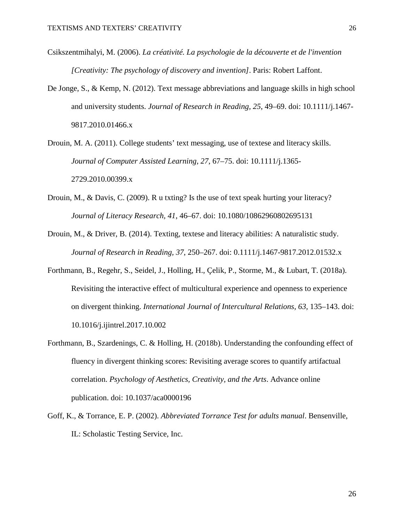- Csikszentmihalyi, M. (2006). *La créativité. La psychologie de la découverte et de l'invention [Creativity: The psychology of discovery and invention]*. Paris: Robert Laffont.
- De Jonge, S., & Kemp, N. (2012). Text message abbreviations and language skills in high school and university students. *Journal of Research in Reading, 25*, 49–69. doi: 10.1111/j.1467- 9817.2010.01466.x
- Drouin, M. A. (2011). College students' text messaging, use of textese and literacy skills. *Journal of Computer Assisted Learning, 27*, 67–75. doi: 10.1111/j.1365- 2729.2010.00399.x
- Drouin, M., & Davis, C. (2009). R u txting? Is the use of text speak hurting your literacy? *Journal of Literacy Research, 41*, 46–67. doi: 10.1080/10862960802695131
- Drouin, M., & Driver, B. (2014). Texting, textese and literacy abilities: A naturalistic study. *Journal of Research in Reading, 37*, 250–267. doi: 0.1111/j.1467-9817.2012.01532.x
- Forthmann, B., Regehr, S., Seidel, J., Holling, H., Çelik, P., Storme, M., & Lubart, T. (2018a). Revisiting the interactive effect of multicultural experience and openness to experience on divergent thinking. *International Journal of Intercultural Relations, 63,* 135–143. doi: 10.1016/j.ijintrel.2017.10.002
- Forthmann, B., Szardenings, C. & Holling, H. (2018b). Understanding the confounding effect of fluency in divergent thinking scores: Revisiting average scores to quantify artifactual correlation. *Psychology of Aesthetics, Creativity, and the Arts*. Advance online publication. doi: 10.1037/aca0000196
- Goff, K., & Torrance, E. P. (2002). *Abbreviated Torrance Test for adults manual*. Bensenville, IL: Scholastic Testing Service, Inc.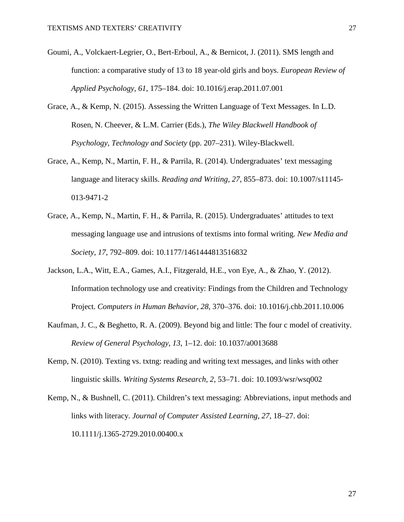- Goumi, A., Volckaert-Legrier, O., Bert-Erboul, A., & Bernicot, J. (2011). SMS length and function: a comparative study of 13 to 18 year-old girls and boys. *European Review of Applied Psychology, 61*, 175–184. doi: 10.1016/j.erap.2011.07.001
- Grace, A., & Kemp, N. (2015). Assessing the Written Language of Text Messages. In L.D. Rosen, N. Cheever, & L.M. Carrier (Eds.), *The Wiley Blackwell Handbook of Psychology, Technology and Society* (pp. 207–231). Wiley-Blackwell.
- Grace, A., Kemp, N., Martin, F. H., & Parrila, R. (2014). Undergraduates' text messaging language and literacy skills. *Reading and Writing, 27*, 855–873. doi: 10.1007/s11145- 013-9471-2
- Grace, A., Kemp, N., Martin, F. H., & Parrila, R. (2015). Undergraduates' attitudes to text messaging language use and intrusions of textisms into formal writing. *New Media and Society, 17*, 792–809. doi: 10.1177/1461444813516832
- Jackson, L.A., Witt, E.A., Games, A.I., Fitzgerald, H.E., von Eye, A., & Zhao, Y. (2012). Information technology use and creativity: Findings from the Children and Technology Project. *Computers in Human Behavior, 28*, 370–376. doi: 10.1016/j.chb.2011.10.006
- Kaufman, J. C., & Beghetto, R. A. (2009). Beyond big and little: The four c model of creativity. *Review of General Psychology, 13*, 1–12. doi: 10.1037/a0013688
- Kemp, N. (2010). Texting vs. txtng: reading and writing text messages, and links with other linguistic skills. *Writing Systems Research, 2*, 53–71. doi: 10.1093/wsr/wsq002
- Kemp, N., & Bushnell, C. (2011). Children's text messaging: Abbreviations, input methods and links with literacy. *Journal of Computer Assisted Learning, 27*, 18–27. doi: 10.1111/j.1365-2729.2010.00400.x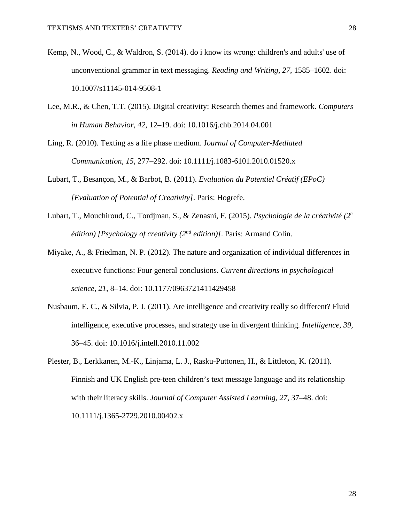- Kemp, N., Wood, C., & Waldron, S. (2014). do i know its wrong: children's and adults' use of unconventional grammar in text messaging. *Reading and Writing, 27*, 1585–1602. doi: 10.1007/s11145-014-9508-1
- Lee, M.R., & Chen, T.T. (2015). Digital creativity: Research themes and framework. *Computers in Human Behavior, 42*, 12–19. doi: 10.1016/j.chb.2014.04.001
- Ling, R. (2010). Texting as a life phase medium. J*ournal of Computer-Mediated Communication, 15*, 277–292. doi: 10.1111/j.1083-6101.2010.01520.x
- Lubart, T., Besançon, M., & Barbot, B. (2011). *Evaluation du Potentiel Créatif (EPoC) [Evaluation of Potential of Creativity]*. Paris: Hogrefe.
- Lubart, T., Mouchiroud, C., Tordjman, S., & Zenasni, F. (2015). *Psychologie de la créativité (2e édition) [Psychology of creativity (2nd edition)]*. Paris: Armand Colin.
- Miyake, A., & Friedman, N. P. (2012). The nature and organization of individual differences in executive functions: Four general conclusions. *Current directions in psychological science*, *21*, 8–14. doi: 10.1177/0963721411429458
- Nusbaum, E. C., & Silvia, P. J. (2011). Are intelligence and creativity really so different? Fluid intelligence, executive processes, and strategy use in divergent thinking. *Intelligence, 39,*  36–45. doi: 10.1016/j.intell.2010.11.002
- Plester, B., Lerkkanen, M.-K., Linjama, L. J., Rasku-Puttonen, H., & Littleton, K. (2011). Finnish and UK English pre-teen children's text message language and its relationship with their literacy skills. *Journal of Computer Assisted Learning, 27*, 37–48. doi: 10.1111/j.1365-2729.2010.00402.x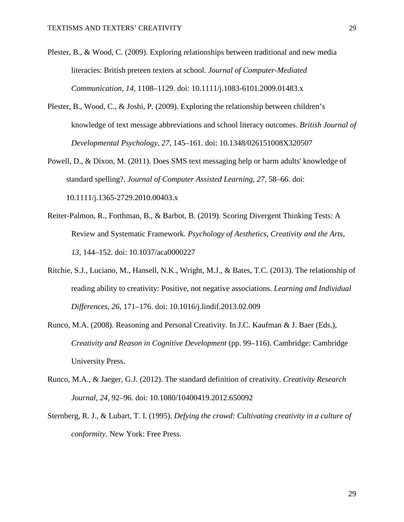- Plester, B., & Wood, C. (2009). Exploring relationships between traditional and new media literacies: British preteen texters at school. *Journal of Computer-Mediated Communication, 14*, 1108–1129. doi: 10.1111/j.1083-6101.2009.01483.x
- Plester, B., Wood, C., & Joshi, P. (2009). Exploring the relationship between children's knowledge of text message abbreviations and school literacy outcomes. *British Journal of Developmental Psychology, 27*, 145–161. doi: 10.1348/026151008X320507
- Powell, D., & Dixon, M. (2011). Does SMS text messaging help or harm adults' knowledge of standard spelling?. *Journal of Computer Assisted Learning*, *27*, 58–66. doi: 10.1111/j.1365-2729.2010.00403.x
- Reiter-Palmon, R., Forthman, B., & Barbot, B. (2019). Scoring Divergent Thinking Tests: A Review and Systematic Framework. *Psychology of Aesthetics, Creativity and the Arts, 13*, 144–152. doi: 10.1037/aca0000227
- Ritchie, S.J., Luciano, M., Hansell, N.K., Wright, M.J., & Bates, T.C. (2013). The relationship of reading ability to creativity: Positive, not negative associations. *Learning and Individual Differences, 26*, 171–176. doi: 10.1016/j.lindif.2013.02.009
- Runco, M.A. (2008). Reasoning and Personal Creativity. In J.C. Kaufman & J. Baer (Eds.), *Creativity and Reason in Cognitive Development* (pp. 99–116). Cambridge: Cambridge University Press.
- Runco, M.A., & Jaeger, G.J. (2012). The standard definition of creativity. *Creativity Research Journal, 24*, 92–96. doi: 10.1080/10400419.2012.650092
- Sternberg, R. J., & Lubart, T. I. (1995). *Defying the crowd: Cultivating creativity in a culture of conformity*. New York: Free Press.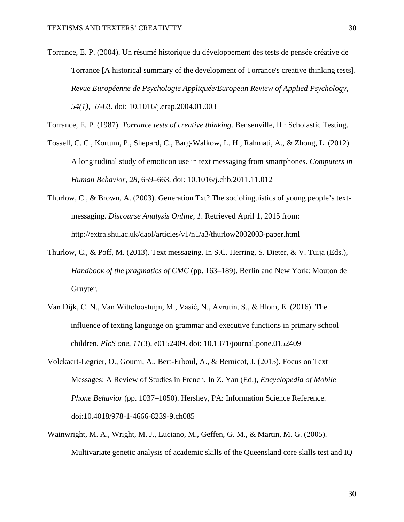Torrance, E. P. (2004). Un résumé historique du développement des tests de pensée créative de Torrance [A historical summary of the development of Torrance's creative thinking tests]. *Revue Européenne de Psychologie Appliquée/European Review of Applied Psychology, 54(1)*, 57-63. doi: 10.1016/j.erap.2004.01.003

Torrance, E. P. (1987). *Torrance tests of creative thinking*. Bensenville, IL: Scholastic Testing.

- Tossell, C. C., Kortum, P., Shepard, C., Barg‐Walkow, L. H., Rahmati, A., & Zhong, L. (2012). A longitudinal study of emoticon use in text messaging from smartphones. *Computers in Human Behavior, 28*, 659–663. doi: 10.1016/j.chb.2011.11.012
- Thurlow, C., & Brown, A. (2003). Generation Txt? The sociolinguistics of young people's textmessaging. *Discourse Analysis Online, 1*. Retrieved April 1, 2015 from: http://extra.shu.ac.uk/daol/articles/v1/n1/a3/thurlow2002003-paper.html
- Thurlow, C., & Poff, M. (2013). Text messaging. In S.C. Herring, S. Dieter, & V. Tuija (Eds.), *Handbook of the pragmatics of CMC* (pp. 163–189). Berlin and New York: Mouton de Gruyter.
- Van Dijk, C. N., Van Witteloostuijn, M., Vasić, N., Avrutin, S., & Blom, E. (2016). The influence of texting language on grammar and executive functions in primary school children. *PloS one*, *11*(3), e0152409. doi: 10.1371/journal.pone.0152409
- Volckaert-Legrier, O., Goumi, A., Bert-Erboul, A., & Bernicot, J. (2015). Focus on Text Messages: A Review of Studies in French. In Z. Yan (Ed.), *Encyclopedia of Mobile Phone Behavior* (pp. 1037–1050). Hershey, PA: Information Science Reference. doi:10.4018/978-1-4666-8239-9.ch085
- Wainwright, M. A., Wright, M. J., Luciano, M., Geffen, G. M., & Martin, M. G. (2005). Multivariate genetic analysis of academic skills of the Queensland core skills test and IQ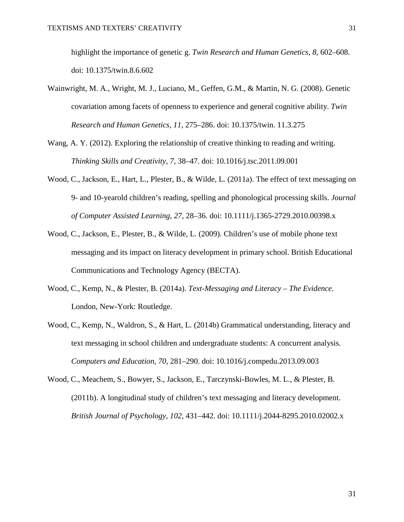highlight the importance of genetic g. *Twin Research and Human Genetics, 8*, 602–608. doi: 10.1375/twin.8.6.602

- Wainwright, M. A., Wright, M. J., Luciano, M., Geffen, G.M., & Martin, N. G. (2008). Genetic covariation among facets of openness to experience and general cognitive ability. *Twin Research and Human Genetics, 11*, 275–286. doi: 10.1375/twin. 11.3.275
- Wang, A. Y. (2012). Exploring the relationship of creative thinking to reading and writing. *Thinking Skills and Creativity, 7*, 38–47. doi: 10.1016/j.tsc.2011.09.001
- Wood, C., Jackson, E., Hart, L., Plester, B., & Wilde, L. (2011a). The effect of text messaging on 9- and 10-yearold children's reading, spelling and phonological processing skills. *Journal of Computer Assisted Learning, 27*, 28–36. doi: 10.1111/j.1365-2729.2010.00398.x
- Wood, C., Jackson, E., Plester, B., & Wilde, L. (2009). Children's use of mobile phone text messaging and its impact on literacy development in primary school. British Educational Communications and Technology Agency (BECTA).
- Wood, C., Kemp, N., & Plester, B. (2014a). *Text-Messaging and Literacy – The Evidence*. London, New-York: Routledge.
- Wood, C., Kemp, N., Waldron, S., & Hart, L. (2014b) Grammatical understanding, literacy and text messaging in school children and undergraduate students: A concurrent analysis. *Computers and Education, 70*, 281–290. doi: 10.1016/j.compedu.2013.09.003
- Wood, C., Meachem, S., Bowyer, S., Jackson, E., Tarczynski-Bowles, M. L., & Plester, B. (2011b). A longitudinal study of children's text messaging and literacy development. *British Journal of Psychology, 102*, 431–442. doi: 10.1111/j.2044-8295.2010.02002.x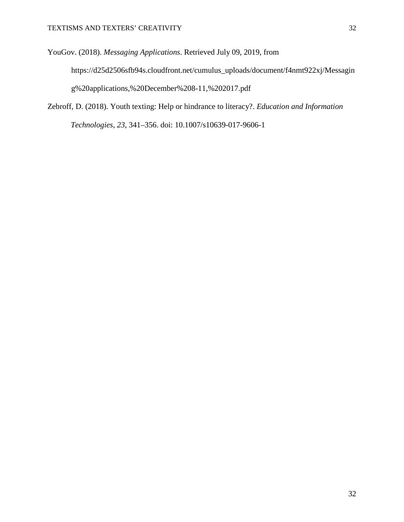YouGov. (2018). *Messaging Applications*. Retrieved July 09, 2019, from https://d25d2506sfb94s.cloudfront.net/cumulus\_uploads/document/f4nmt922xj/Messagin g%20applications,%20December%208-11,%202017.pdf

Zebroff, D. (2018). Youth texting: Help or hindrance to literacy?. *Education and Information Technologies*, *23*, 341–356. doi: 10.1007/s10639-017-9606-1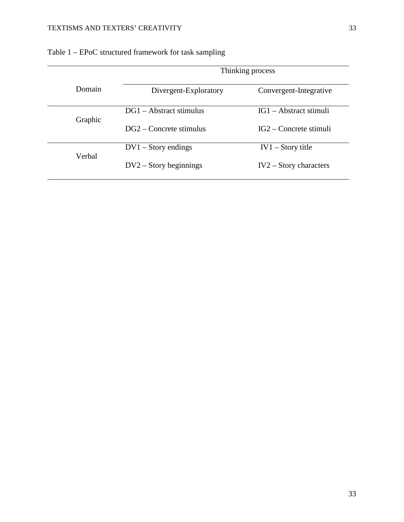|         | Thinking process          |                          |  |  |  |
|---------|---------------------------|--------------------------|--|--|--|
| Domain  | Divergent-Exploratory     | Convergent-Integrative   |  |  |  |
|         | $DG1 - Abstract stimulus$ | $IG1 - Abstract stimuli$ |  |  |  |
| Graphic | $DG2 - Concrete stimulus$ | $IG2 -$ Concrete stimuli |  |  |  |
|         | $DV1 - Story$ endings     | $IV1 - Story title$      |  |  |  |
| Verbal  | $DV2 - Story$ beginnings  | $IV2 - Story characters$ |  |  |  |

|  |  |  | Table 1 – EPoC structured framework for task sampling |  |  |  |  |
|--|--|--|-------------------------------------------------------|--|--|--|--|
|--|--|--|-------------------------------------------------------|--|--|--|--|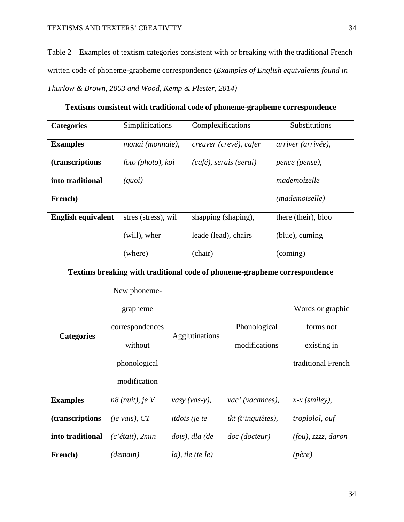Table 2 – Examples of textism categories consistent with or breaking with the traditional French written code of phoneme-grapheme correspondence (*Examples of English equivalents found in Thurlow & Brown, 2003 and Wood, Kemp & Plester, 2014)*

| Textisms consistent with traditional code of phoneme-grapheme correspondence |                                    |                              |                      |                           |                                                                           |  |
|------------------------------------------------------------------------------|------------------------------------|------------------------------|----------------------|---------------------------|---------------------------------------------------------------------------|--|
| <b>Categories</b>                                                            | Simplifications                    |                              | Complexifications    |                           | Substitutions                                                             |  |
| <b>Examples</b>                                                              | monai (monnaie),                   |                              |                      | creuver (crevé), cafer    | arriver (arrivée),                                                        |  |
| (transcriptions                                                              | foto (photo), koi                  |                              |                      | $(café)$ , serais (serai) | pence (pense),                                                            |  |
| into traditional                                                             | (quot)                             |                              |                      |                           | mademoizelle                                                              |  |
| French)                                                                      |                                    |                              |                      |                           | (mademoiselle)                                                            |  |
| <b>English equivalent</b>                                                    | stres (stress), wil                |                              | shapping (shaping),  |                           | there (their), bloo                                                       |  |
|                                                                              | (will), wher                       |                              | leade (lead), chairs |                           | (blue), cuming                                                            |  |
|                                                                              | (where)                            |                              | (chair)              |                           | (coming)                                                                  |  |
|                                                                              |                                    |                              |                      |                           | Textims breaking with traditional code of phoneme-grapheme correspondence |  |
|                                                                              | New phoneme-                       |                              |                      |                           |                                                                           |  |
|                                                                              | grapheme                           |                              |                      |                           | Words or graphic                                                          |  |
|                                                                              | correspondences                    |                              |                      | Phonological              | forms not                                                                 |  |
| <b>Categories</b>                                                            | without                            |                              | Agglutinations       | modifications             | existing in                                                               |  |
|                                                                              | phonological                       |                              |                      |                           | traditional French                                                        |  |
|                                                                              | modification                       |                              |                      |                           |                                                                           |  |
| <b>Examples</b>                                                              | n8 (nuit), je V                    |                              | vasy (vas-y),        | vac' (vacances),          | $x-x$ (smiley),                                                           |  |
| (transcriptions                                                              | $(je \text{ } \text{vais})$ , $CT$ | <i>jtdois</i> ( <i>je te</i> |                      | tkt (t'inquiètes),        | troplolol, ouf                                                            |  |
| into traditional                                                             | $(c$ 'était), 2min                 |                              | dois), dla (de       | doc (docteur)             | $(fou)$ , zzzz, daron                                                     |  |
| French)                                                                      | (demain)                           |                              | $la$ , the (te le)   |                           | $(p\grave{e}re)$                                                          |  |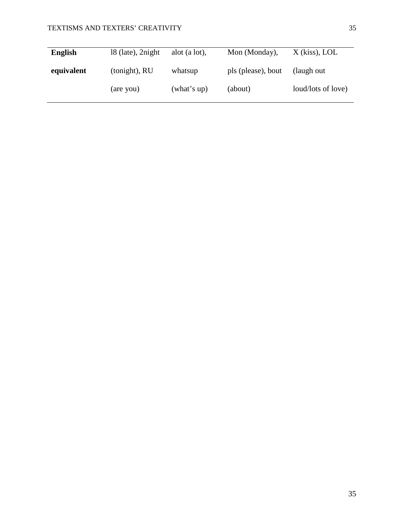| <b>English</b> | $18$ (late), 2 night | alot $(a lot)$ , | Mon (Monday),      | $X$ (kiss), LOL    |
|----------------|----------------------|------------------|--------------------|--------------------|
| equivalent     | (tonight), RU        | whatsup          | pls (please), bout | (laugh out)        |
|                | (are you)            | (what's up)      | (about)            | loud/lots of love) |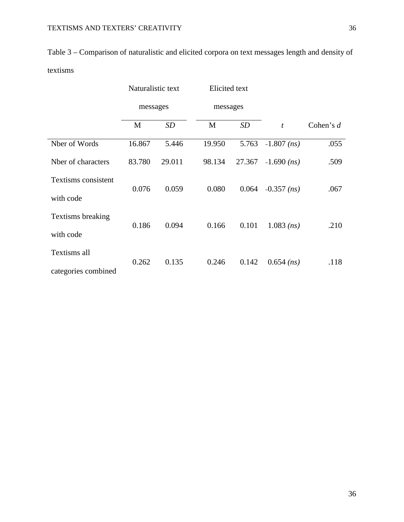| Table 3 – Comparison of naturalistic and elicited corpora on text messages length and density of |
|--------------------------------------------------------------------------------------------------|
| textisms                                                                                         |

|                     | Naturalistic text<br>messages |        | Elicited text<br>messages |        |                        |             |  |
|---------------------|-------------------------------|--------|---------------------------|--------|------------------------|-------------|--|
|                     |                               |        |                           |        |                        |             |  |
|                     | M                             | SD     | M                         | SD     | $\mathbf{t}$           | Cohen's $d$ |  |
| Nber of Words       | 16.867                        | 5.446  | 19.950                    | 5.763  | $-1.807$ (ns)          | .055        |  |
| Nber of characters  | 83.780                        | 29.011 | 98.134                    | 27.367 | $-1.690$ ( <i>ns</i> ) | .509        |  |
| Textisms consistent | 0.076                         | 0.059  | 0.080                     | 0.064  | $-0.357$ (ns)          | .067        |  |
| with code           |                               |        |                           |        |                        |             |  |
| Textisms breaking   | 0.186                         | 0.094  | 0.166                     | 0.101  | $1.083$ (ns)           | .210        |  |
| with code           |                               |        |                           |        |                        |             |  |
| Textisms all        | 0.262                         | 0.135  | 0.246                     | 0.142  | $0.654$ ( <i>ns</i> )  | .118        |  |
| categories combined |                               |        |                           |        |                        |             |  |